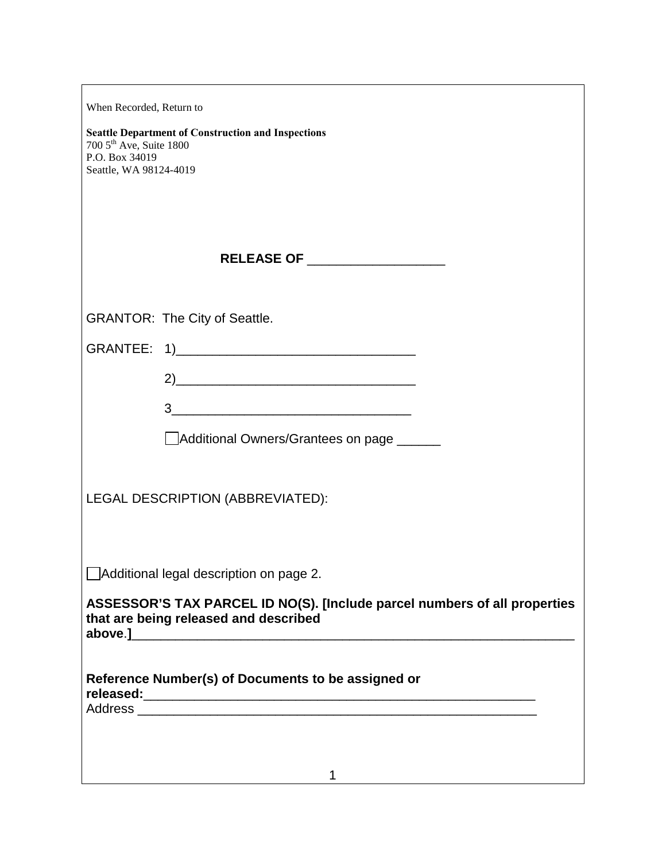| When Recorded, Return to<br>700 5 <sup>th</sup> Ave, Suite 1800<br>P.O. Box 34019<br>Seattle, WA 98124-4019 | <b>Seattle Department of Construction and Inspections</b>                                                          |
|-------------------------------------------------------------------------------------------------------------|--------------------------------------------------------------------------------------------------------------------|
|                                                                                                             | RELEASE OF ____________________                                                                                    |
|                                                                                                             | <b>GRANTOR: The City of Seattle.</b>                                                                               |
|                                                                                                             |                                                                                                                    |
|                                                                                                             |                                                                                                                    |
|                                                                                                             |                                                                                                                    |
|                                                                                                             | Additional Owners/Grantees on page _____                                                                           |
|                                                                                                             | LEGAL DESCRIPTION (ABBREVIATED):                                                                                   |
|                                                                                                             | Additional legal description on page 2.                                                                            |
|                                                                                                             | ASSESSOR'S TAX PARCEL ID NO(S). [Include parcel numbers of all properties<br>that are being released and described |
|                                                                                                             | Reference Number(s) of Documents to be assigned or                                                                 |
|                                                                                                             |                                                                                                                    |